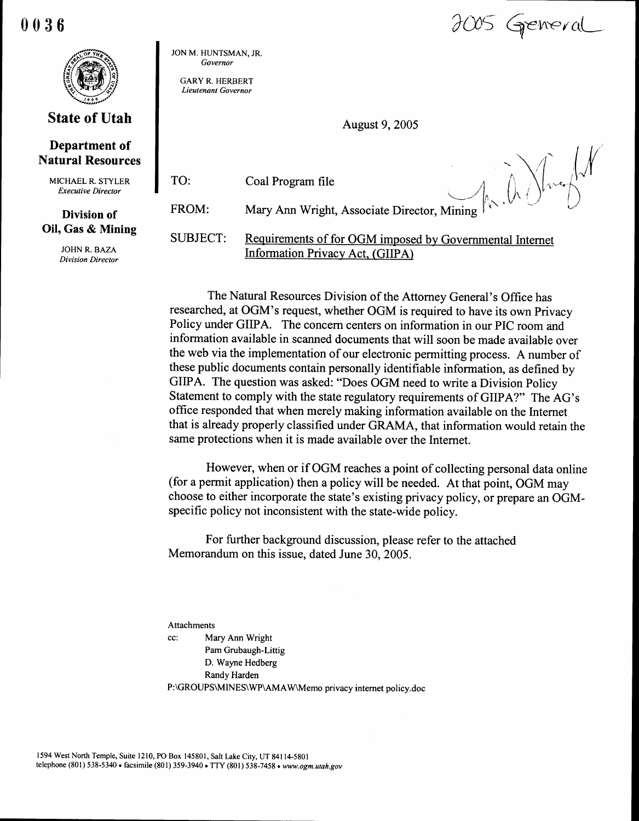0036  $\begin{array}{|c|c|}\n\hline\n0 & 0 & 3 & 6 \\
\hline\n\end{array}$ 



# **State of Utah**

## Department of Natural Resources

MICHAEL R. STYLER Executive Director

### Division of Oil, Gas & Mining

JOHN R. BAZA Division Director JON M. HUNTSMAN, JR. Governor

GARY R. HERBERT Lieutenant Governor

TO:

August 9, 2005

Coal Program file

JOOS Greneral

FROM: Mary Ann Wright, Associate Director, Mining

SUBJECT: Requirements of for OGM imposed by Governmental Internet Information Privacy Act, (GIIPA)

The Natural Resources Division of the Attorney General's Office has researched, at OGM's request, whether OGM is required to have its own Privacy Policy under GIIPA. The concern centers on information in our PIC room and information available in scanned documents that will soon be made available over the web via the implementation of our electronic permitting process . A number of these public documents contain personally identifiable information, as defined by GIIPA. The question was asked: "Does OGM need to write a Division Policy Statement to comply with the state regulatory requirements of GIIPA?" The AG's office responded that when merely making information available on the Internet that is already properly classified under GRAMA, that information would retain the same protections when it is made available over the Internet.

However, when or if OGM reaches a point of collecting personal data online (for a permit application) then a policy will be needed. At that point, OGM may choose to either incorporate the state's existing privacy policy, or prepare an OGMspecific policy not inconsistent with the state-wide policy.

For further background discussion, please refer to the attached Memorandum on this issue, dated June 30, 2005.

Attachments

cc : Mary Ann Wright Pam Grubaugh-Littig D. Wayne Hedberg Randy Harden P:\GROUPS\MINES\WP\AMAW\Memo privacy internet policy.doc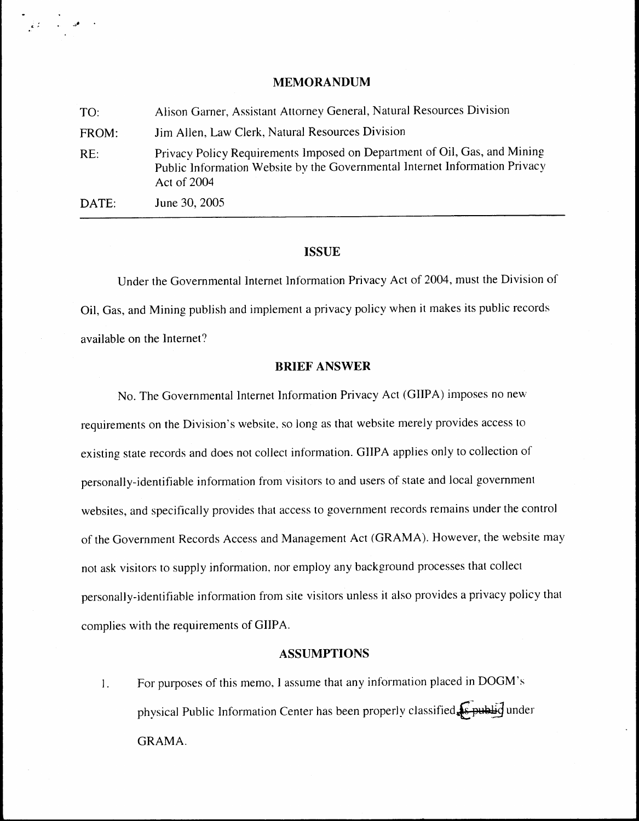### MEMORANDUM

| <b>MEMORANDUM</b>                                                                                                                                                       |
|-------------------------------------------------------------------------------------------------------------------------------------------------------------------------|
|                                                                                                                                                                         |
| Alison Garner, Assistant Attorney General, Natural Resources Division                                                                                                   |
| Jim Allen, Law Clerk, Natural Resources Division                                                                                                                        |
| Privacy Policy Requirements Imposed on Department of Oil, Gas, and Mining<br>Public Information Website by the Governmental Internet Information Privacy<br>Act of 2004 |
|                                                                                                                                                                         |

## **ISSUE**

Under the Governmental Internet Information Privacy Act of 2004, must the Division of Oil, Gas, and Mining publish and implement a privacy policy when it makes its public records available on the Internet?

### BRIEF ANSWER

No. The Governmental Internet Information Privacy Act (GIIPA) imposes no new requirements on the Division's website, so long as that website merely provides access to existing state records and does not collect information . GIIPA applies only to collection of personally-identifiable information from visitors to and users of state and local government websites, and specifically provides that access to government records remains under the control of the Government Records Access and Management Act (GRAMA) . However, the website may not ask visitors to supply information, nor employ any background processes that collect personally-identifiable information from site visitors unless it also provides a privacy policy that complies with the requirements of GIIPA. **EXECUTE:**<br>
TO:<br>
Altiom Ginner, Assistant Alturney General, Namal Resources Division<br>
FOCM:<br>
For Altion Line Clerk, Netatal Resources Division<br>
RE<br>
Privacy Placky Requirement Imperator they<br>necessarily information Privacy

### ASSUMPTIONS

I . physical Public Information Center has been properly classified Epublic under GRAMA.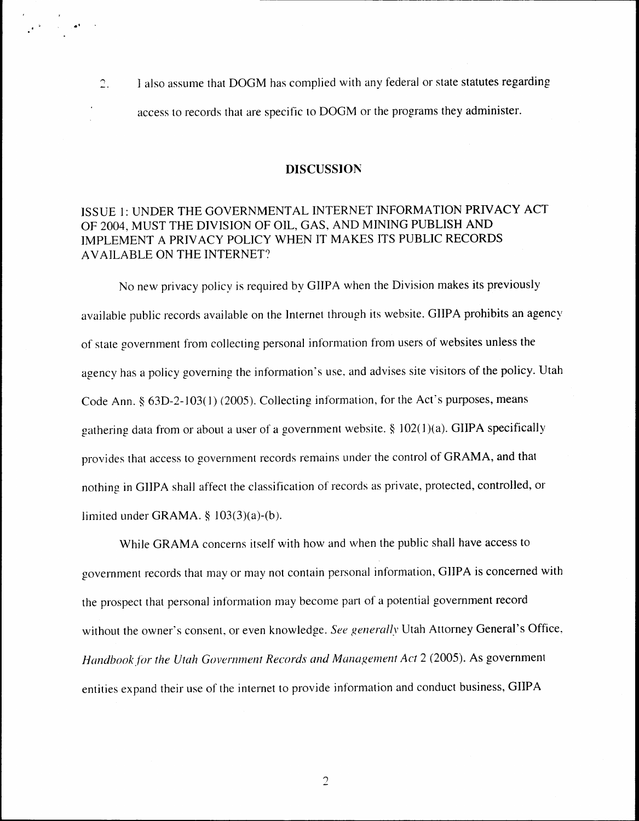1 also assume that DOGM has complied with any federal or state statutes regarding  $\mathbb{C}.$ access to records that are specific to DOGM or the programs they administer .

 $\label{eq:2} \frac{1}{2} \int_{0}^{2\pi} \frac{1}{2} \left( \frac{1}{2} \int_{0}^{2\pi} \frac{1}{2} \left( \frac{1}{2} \int_{0}^{2\pi} \frac{1}{2} \left( \frac{1}{2} \int_{0}^{2\pi} \frac{1}{2} \right) \right) \, d\mu \right)^{1/2} \, d\mu$ 

#### DISCUSSION

# ISSUE 1: UNDER THE GOVERNMENTAL INTERNET INFORMATION PRIVACY ACT OF 2004, MUST THE DIVISION OF OIL, GAS, AND MINING PUBLISH AND IMPLEMENT A PRIVACY POLICY WHEN IT MAKES ITS PUBLIC RECORDS AVAILABLE ON THE INTERNET?

No new privacy policy is required by GIIPA when the Division makes its previously available public records available on the Internet through its website . GIIPA prohibits an agency of state government from collecting personal information from users of websites unless the agency has a policy governing the information's use, and advises site visitors of the policy. Utah Code Ann. § 63D-2-103(1) (2005). Collecting information, for the Act's purposes, means gathering data from or about a user of a government website.  $\S$  102(1)(a). GIIPA specifically provides that access to government records remains under the control of GRAMA, and that nothing in GIIPA shall affect the classification of records as private, protected, controlled, or limited under GRAMA.  $\S$  103(3)(a)-(b).

While GRAMA concerns itself with how and when the public shall have access to government records that may or may not contain personal information, GIIPA is concerned with the prospect that personal information may become part of a potential government record without the owner's consent, or even knowledge. See generally Utah Attorney General's Office, Handbook for the Utah Government Records and Management Act 2 (2005). As government entities expand their use of the internet to provide information and conduct business, GIIPA

 $\overline{2}$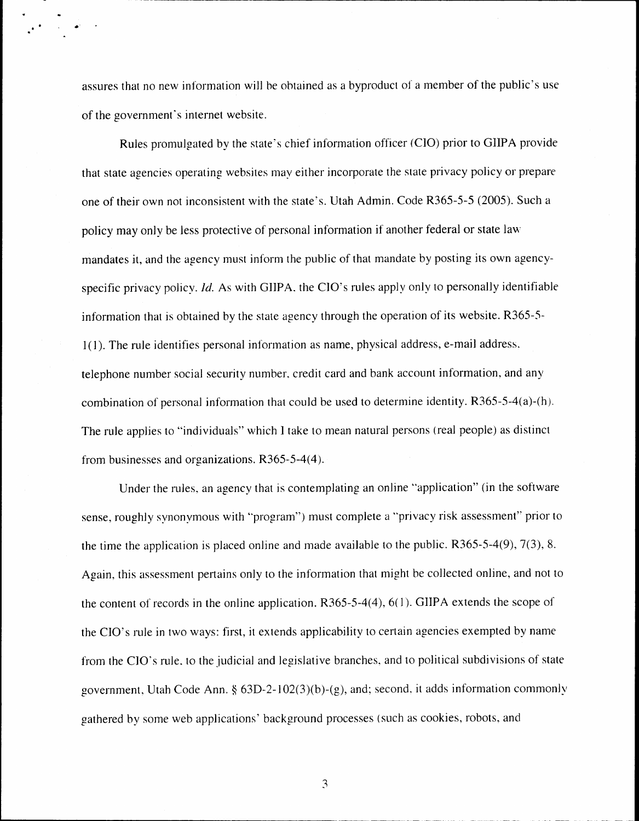assures that no new information will be obtained as a byproduct of a member of the public's use of the government's internet website .

 $\frac{1}{\sqrt{2}}\left(\frac{1}{\sqrt{2}}\right)^{2}=\frac{1}{2}\left(\frac{1}{\sqrt{2}}\right)^{2}$ 

Rules promulgated by the state's chief information officer (CIO) prior to GIIPA provide that state agencies operating websites may either incorporate the state privacy policy or prepare one of their own not inconsistent with the state's . Utah Admin . Code R365-5-5 (2005) . Such a policy may only be less protective of personal information if another federal or state law mandates it, and the agency must inform the public of that mandate by posting its own agencyspecific privacy policy. Id. As with GIIPA, the CIO's rules apply only to personally identifiable information that is obtained by the state agency through the operation of its website. R365-5-1(1). The rule identifies personal information as name, physical address, e-mail address . telephone number social security number, credit card and bank account information, and any combination of personal information that could be used to determine identity. R365-5-4(a)-(h). The rule applies to "individuals" which I take to mean natural persons (real people) as distinct from businesses and organizations. R365-5-4(4).

Under the rules, an agency that is contemplating an online "application" (in the software sense, roughly synonymous with "program") must complete a "privacy risk assessment" prior to the time the application is placed online and made available to the public.  $R365-5-4(9)$ ,  $7(3)$ , 8. Again, this assessment pertains only to the information that might be collected online, and not to the content of records in the online application.  $R365-5-4(4)$ ,  $6(1)$ . GIIPA extends the scope of the CIO's rule in two ways: first, it extends applicability to certain agencies exempted by name from the CIO's rule, to the judicial and legislative branches, and to political subdivisions of state government, Utah Code Ann. §  $63D-2-102(3)(b)-(g)$ , and; second, it adds information commonly gathered by some web applications' background processes (such as cookies, robots, and

3